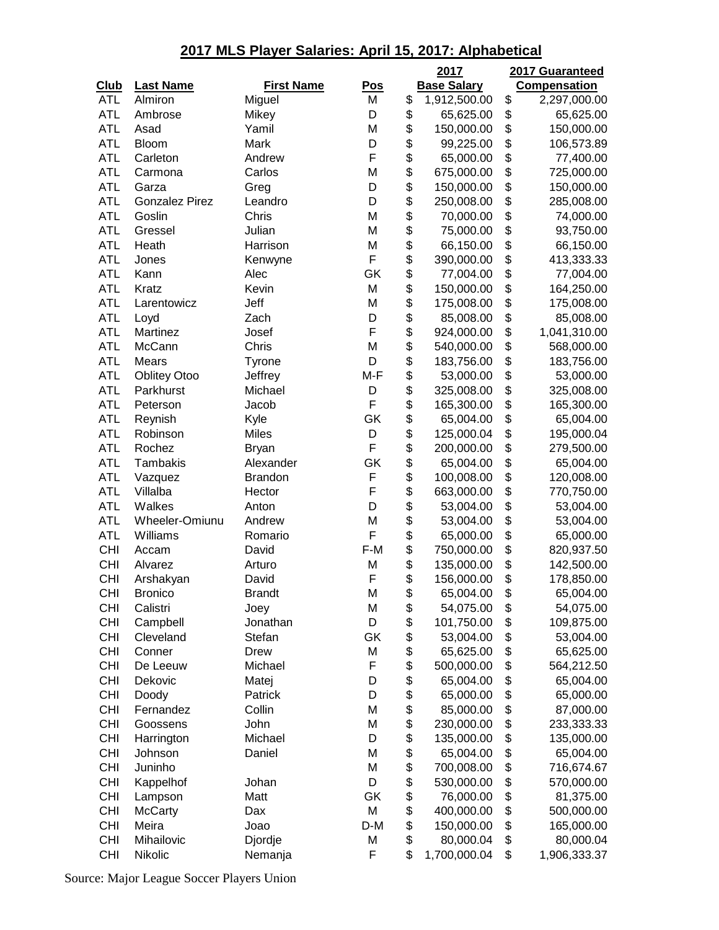|             |                       |                   |            | 2017                           | 2017 Guaranteed     |
|-------------|-----------------------|-------------------|------------|--------------------------------|---------------------|
| <u>Club</u> | <b>Last Name</b>      | <b>First Name</b> | <u>Pos</u> | <b>Base Salary</b>             | <b>Compensation</b> |
| <b>ATL</b>  | Almiron               | Miguel            | M          | \$<br>1,912,500.00             | \$<br>2,297,000.00  |
| <b>ATL</b>  | Ambrose               | Mikey             | D          | \$<br>65,625.00                | \$<br>65,625.00     |
| <b>ATL</b>  | Asad                  | Yamil             | M          | \$<br>150,000.00               | \$<br>150,000.00    |
| <b>ATL</b>  | Bloom                 | Mark              | D          | \$<br>99,225.00                | \$<br>106,573.89    |
| <b>ATL</b>  | Carleton              | Andrew            | F          | \$<br>65,000.00                | \$<br>77,400.00     |
| <b>ATL</b>  | Carmona               | Carlos            | M          | \$<br>675,000.00               | \$<br>725,000.00    |
| <b>ATL</b>  | Garza                 | Greg              | D          | \$<br>150,000.00               | \$<br>150,000.00    |
| <b>ATL</b>  | <b>Gonzalez Pirez</b> | Leandro           | D          | \$<br>250,008.00               | \$<br>285,008.00    |
| <b>ATL</b>  | Goslin                | Chris             | M          | \$<br>70,000.00                | \$<br>74,000.00     |
| <b>ATL</b>  | Gressel               | Julian            | M          | \$<br>75,000.00                | \$<br>93,750.00     |
| <b>ATL</b>  | Heath                 | Harrison          | M          | \$<br>66,150.00                | \$<br>66,150.00     |
| <b>ATL</b>  | Jones                 | Kenwyne           | F          | \$<br>390,000.00               | \$<br>413,333.33    |
| <b>ATL</b>  | Kann                  | Alec              | GK         | \$<br>77,004.00                | \$<br>77,004.00     |
| <b>ATL</b>  | Kratz                 | Kevin             | M          | \$<br>150,000.00               | \$<br>164,250.00    |
| <b>ATL</b>  | Larentowicz           | Jeff              | M          | \$<br>175,008.00               | \$<br>175,008.00    |
| <b>ATL</b>  | Loyd                  | Zach              | D          | \$<br>85,008.00                | \$<br>85,008.00     |
| <b>ATL</b>  | Martinez              | Josef             | F          | \$<br>924,000.00               | \$<br>1,041,310.00  |
| <b>ATL</b>  | McCann                | Chris             | M          | \$<br>540,000.00               | \$<br>568,000.00    |
| <b>ATL</b>  | Mears                 | Tyrone            | D          | \$<br>183,756.00               | \$<br>183,756.00    |
| <b>ATL</b>  | <b>Oblitey Otoo</b>   | Jeffrey           | M-F        | \$<br>53,000.00                | \$<br>53,000.00     |
| <b>ATL</b>  | Parkhurst             | Michael           | D          | \$<br>325,008.00               | \$<br>325,008.00    |
| <b>ATL</b>  | Peterson              | Jacob             | F          | \$<br>165,300.00               | \$<br>165,300.00    |
| <b>ATL</b>  | Reynish               | Kyle              | GK         | \$<br>65,004.00                | \$<br>65,004.00     |
| <b>ATL</b>  | Robinson              | <b>Miles</b>      | D          | \$<br>125,000.04               | \$<br>195,000.04    |
| <b>ATL</b>  | Rochez                | <b>Bryan</b>      | F          | \$<br>200,000.00               | \$<br>279,500.00    |
| <b>ATL</b>  | Tambakis              | Alexander         | GK         | \$<br>65,004.00                | \$<br>65,004.00     |
| <b>ATL</b>  | Vazquez               | <b>Brandon</b>    | F          | \$<br>100,008.00               | \$<br>120,008.00    |
| <b>ATL</b>  | Villalba              | Hector            | F          | \$<br>663,000.00               | \$<br>770,750.00    |
| <b>ATL</b>  | Walkes                | Anton             | D          | \$<br>53,004.00                | \$<br>53,004.00     |
| <b>ATL</b>  | Wheeler-Omiunu        | Andrew            | M          | \$<br>53,004.00                | \$<br>53,004.00     |
| <b>ATL</b>  | Williams              | Romario           | F          | \$                             | \$<br>65,000.00     |
| <b>CHI</b>  |                       | David             | F-M        | \$<br>65,000.00                |                     |
|             | Accam                 | Arturo            |            | \$<br>750,000.00<br>135,000.00 | \$<br>820,937.50    |
| <b>CHI</b>  | Alvarez               |                   | M<br>F     | \$                             | \$<br>142,500.00    |
| <b>CHI</b>  | Arshakyan             | David             |            | 156,000.00                     | \$<br>178,850.00    |
| CHI         | <b>Bronico</b>        | Brandt            | М          | \$<br>65,004.00                | \$<br>65,004.00     |
| <b>CHI</b>  | Calistri              | Joey              | M          | \$<br>54,075.00                | \$<br>54,075.00     |
| <b>CHI</b>  | Campbell              | Jonathan          | D          | \$<br>101,750.00               | \$<br>109,875.00    |
| <b>CHI</b>  | Cleveland             | Stefan            | GK         | \$<br>53,004.00                | \$<br>53,004.00     |
| <b>CHI</b>  | Conner                | <b>Drew</b>       | M          | \$<br>65,625.00                | \$<br>65,625.00     |
| <b>CHI</b>  | De Leeuw              | Michael           | F          | \$<br>500,000.00               | \$<br>564,212.50    |
| <b>CHI</b>  | Dekovic               | Matej             | D          | \$<br>65,004.00                | \$<br>65,004.00     |
| <b>CHI</b>  | Doody                 | Patrick           | D          | \$<br>65,000.00                | \$<br>65,000.00     |
| <b>CHI</b>  | Fernandez             | Collin            | M          | \$<br>85,000.00                | \$<br>87,000.00     |
| <b>CHI</b>  | Goossens              | John              | M          | \$<br>230,000.00               | \$<br>233,333.33    |
| <b>CHI</b>  | Harrington            | Michael           | D          | \$<br>135,000.00               | \$<br>135,000.00    |
| <b>CHI</b>  | Johnson               | Daniel            | M          | \$<br>65,004.00                | \$<br>65,004.00     |
| <b>CHI</b>  | Juninho               |                   | M          | \$<br>700,008.00               | \$<br>716,674.67    |
| <b>CHI</b>  | Kappelhof             | Johan             | D          | \$<br>530,000.00               | \$<br>570,000.00    |
| <b>CHI</b>  | Lampson               | Matt              | GK         | \$<br>76,000.00                | \$<br>81,375.00     |
| <b>CHI</b>  | <b>McCarty</b>        | Dax               | M          | \$<br>400,000.00               | \$<br>500,000.00    |
| <b>CHI</b>  | Meira                 | Joao              | D-M        | \$<br>150,000.00               | \$<br>165,000.00    |
| <b>CHI</b>  | Mihailovic            | Djordje           | M          | \$<br>80,000.04                | \$<br>80,000.04     |
| <b>CHI</b>  | Nikolic               | Nemanja           | F          | \$<br>1,700,000.04             | \$<br>1,906,333.37  |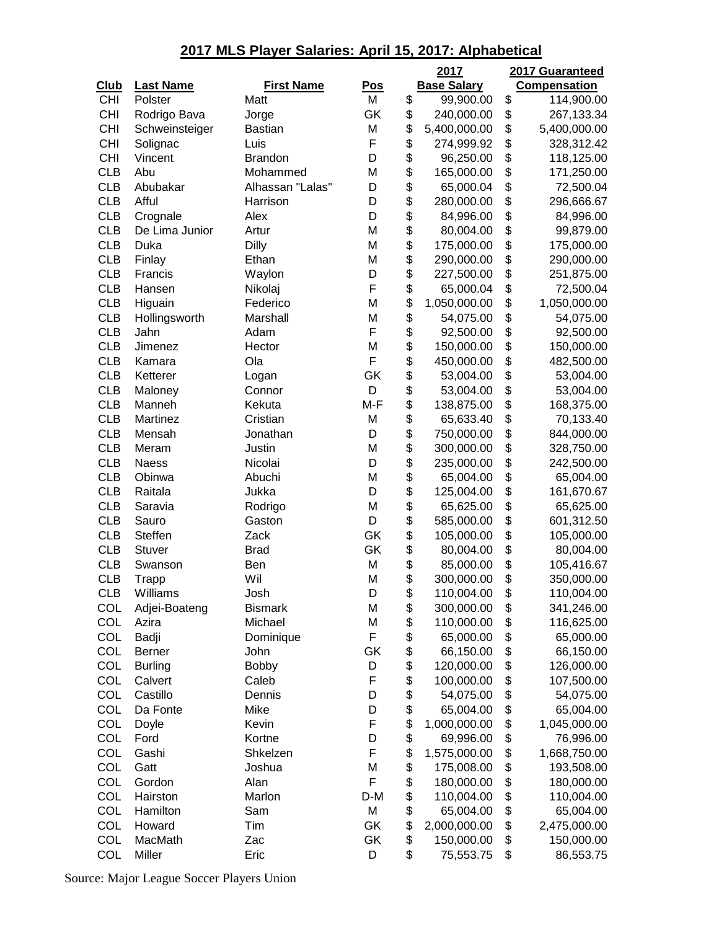|             |                  |                   |            | 2017               | 2017 Guaranteed     |
|-------------|------------------|-------------------|------------|--------------------|---------------------|
| <b>Club</b> | <b>Last Name</b> | <b>First Name</b> | <u>Pos</u> | <b>Base Salary</b> | <b>Compensation</b> |
| <b>CHI</b>  | Polster          | Matt              | M          | \$<br>99,900.00    | \$<br>114,900.00    |
| <b>CHI</b>  | Rodrigo Bava     | Jorge             | GK         | \$<br>240,000.00   | \$<br>267,133.34    |
| <b>CHI</b>  | Schweinsteiger   | <b>Bastian</b>    | M          | \$<br>5,400,000.00 | \$<br>5,400,000.00  |
| <b>CHI</b>  | Solignac         | Luis              | F          | \$<br>274,999.92   | \$<br>328,312.42    |
| <b>CHI</b>  | Vincent          | <b>Brandon</b>    | D          | \$<br>96,250.00    | \$<br>118,125.00    |
| <b>CLB</b>  | Abu              | Mohammed          | M          | \$<br>165,000.00   | \$<br>171,250.00    |
| <b>CLB</b>  | Abubakar         | Alhassan "Lalas"  | D          | \$<br>65,000.04    | \$<br>72,500.04     |
| <b>CLB</b>  | Afful            | Harrison          | D          | \$<br>280,000.00   | \$<br>296,666.67    |
| <b>CLB</b>  | Crognale         | Alex              | D          | \$<br>84,996.00    | \$<br>84,996.00     |
| <b>CLB</b>  | De Lima Junior   | Artur             | M          | \$<br>80,004.00    | \$<br>99,879.00     |
| <b>CLB</b>  | Duka             | Dilly             | M          | \$<br>175,000.00   | \$<br>175,000.00    |
| <b>CLB</b>  | Finlay           | Ethan             | M          | \$<br>290,000.00   | \$<br>290,000.00    |
| <b>CLB</b>  | Francis          | Waylon            | D          | \$<br>227,500.00   | \$<br>251,875.00    |
| <b>CLB</b>  | Hansen           | Nikolaj           | F          | \$<br>65,000.04    | \$<br>72,500.04     |
| <b>CLB</b>  | Higuain          | Federico          | M          | \$<br>1,050,000.00 | \$<br>1,050,000.00  |
| <b>CLB</b>  | Hollingsworth    | Marshall          | M          | \$<br>54,075.00    | \$<br>54,075.00     |
| <b>CLB</b>  | Jahn             | Adam              | F          | \$<br>92,500.00    | \$<br>92,500.00     |
| <b>CLB</b>  | Jimenez          | Hector            | M          | \$<br>150,000.00   | \$<br>150,000.00    |
| <b>CLB</b>  | Kamara           | Ola               | F          | \$<br>450,000.00   | \$<br>482,500.00    |
| <b>CLB</b>  | Ketterer         | Logan             | GK         | \$<br>53,004.00    | \$<br>53,004.00     |
| <b>CLB</b>  | Maloney          | Connor            | D          | \$<br>53,004.00    | \$<br>53,004.00     |
| <b>CLB</b>  | Manneh           | Kekuta            | M-F        | \$<br>138,875.00   | \$<br>168,375.00    |
| <b>CLB</b>  | Martinez         | Cristian          | M          | \$<br>65,633.40    | \$<br>70,133.40     |
| <b>CLB</b>  |                  | Jonathan          | D          | \$                 | \$                  |
| <b>CLB</b>  | Mensah           |                   | M          | \$<br>750,000.00   | 844,000.00          |
| <b>CLB</b>  | Meram            | Justin            | D          | \$<br>300,000.00   | \$<br>328,750.00    |
|             | <b>Naess</b>     | Nicolai           |            | 235,000.00         | \$<br>242,500.00    |
| <b>CLB</b>  | Obinwa           | Abuchi            | M          | \$<br>65,004.00    | \$<br>65,004.00     |
| <b>CLB</b>  | Raitala          | Jukka             | D          | \$<br>125,004.00   | \$<br>161,670.67    |
| <b>CLB</b>  | Saravia          | Rodrigo           | M          | \$<br>65,625.00    | \$<br>65,625.00     |
| <b>CLB</b>  | Sauro            | Gaston            | D          | \$<br>585,000.00   | \$<br>601,312.50    |
| <b>CLB</b>  | <b>Steffen</b>   | Zack              | GK         | \$<br>105,000.00   | \$<br>105,000.00    |
| <b>CLB</b>  | Stuver           | <b>Brad</b>       | GK         | \$<br>80,004.00    | \$<br>80,004.00     |
| <b>CLB</b>  | Swanson          | Ben               | M          | \$<br>85,000.00    | \$<br>105,416.67    |
| <b>CLB</b>  | Trapp            | Wil               | M          | \$<br>300,000.00   | \$<br>350,000.00    |
| CLB         | Williams         | Josh              | D          | \$<br>110,004.00   | \$<br>110,004.00    |
| COL         | Adjei-Boateng    | <b>Bismark</b>    | M          | \$<br>300,000.00   | \$<br>341,246.00    |
| COL         | Azira            | Michael           | M          | \$<br>110,000.00   | \$<br>116,625.00    |
| COL         | Badji            | Dominique         | F          | \$<br>65,000.00    | \$<br>65,000.00     |
| COL         | Berner           | John              | GK         | \$<br>66,150.00    | \$<br>66,150.00     |
| COL         | <b>Burling</b>   | <b>Bobby</b>      | D          | \$<br>120,000.00   | \$<br>126,000.00    |
| COL         | Calvert          | Caleb             | F          | \$<br>100,000.00   | \$<br>107,500.00    |
| COL         | Castillo         | Dennis            | D          | \$<br>54,075.00    | \$<br>54,075.00     |
| COL         | Da Fonte         | Mike              | D          | \$<br>65,004.00    | \$<br>65,004.00     |
| COL         | Doyle            | Kevin             | F          | \$<br>1,000,000.00 | \$<br>1,045,000.00  |
| COL         | Ford             | Kortne            | D          | \$<br>69,996.00    | \$<br>76,996.00     |
| COL         | Gashi            | Shkelzen          | F          | \$<br>1,575,000.00 | \$<br>1,668,750.00  |
| COL         | Gatt             | Joshua            | M          | \$<br>175,008.00   | \$<br>193,508.00    |
| COL         | Gordon           | Alan              | F          | \$<br>180,000.00   | \$<br>180,000.00    |
| COL         | Hairston         | Marlon            | D-M        | \$<br>110,004.00   | \$<br>110,004.00    |
| COL         | Hamilton         | Sam               | M          | \$<br>65,004.00    | \$<br>65,004.00     |
| COL         | Howard           | Tim               | GK         | \$<br>2,000,000.00 | \$<br>2,475,000.00  |
| COL         | MacMath          | Zac               | GK         | \$<br>150,000.00   | \$<br>150,000.00    |
| COL         | Miller           | Eric              | D          | \$<br>75,553.75    | \$<br>86,553.75     |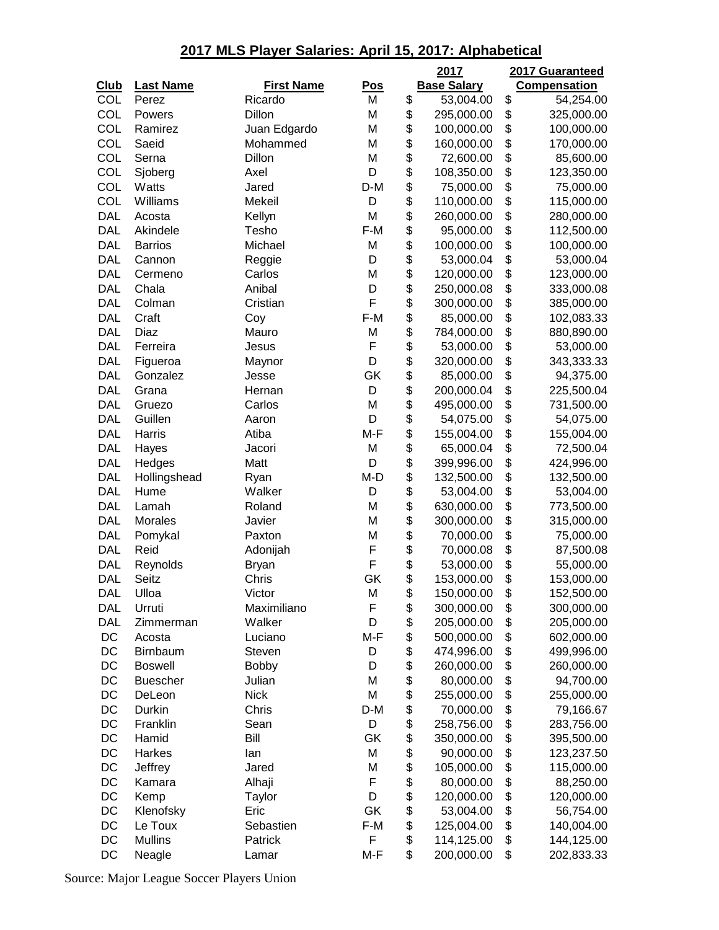|             |                      |                   |            | 2017               | 2017 Guaranteed     |
|-------------|----------------------|-------------------|------------|--------------------|---------------------|
| <b>Club</b> | <b>Last Name</b>     | <b>First Name</b> | <u>Pos</u> | <b>Base Salary</b> | <b>Compensation</b> |
| <b>COL</b>  | Perez                | Ricardo           | M          | \$<br>53,004.00    | \$<br>54,254.00     |
| COL         | Powers               | Dillon            | M          | \$<br>295,000.00   | \$<br>325,000.00    |
| COL         | Ramirez              | Juan Edgardo      | M          | \$<br>100,000.00   | \$<br>100,000.00    |
| COL         | Saeid                | Mohammed          | M          | \$<br>160,000.00   | \$<br>170,000.00    |
| COL         | Serna                | Dillon            | M          | \$<br>72,600.00    | \$<br>85,600.00     |
| COL         | Sjoberg              | Axel              | D          | \$<br>108,350.00   | \$<br>123,350.00    |
| COL         | Watts                | Jared             | D-M        | \$<br>75,000.00    | \$<br>75,000.00     |
| COL         | Williams             | Mekeil            | D          | \$<br>110,000.00   | \$<br>115,000.00    |
| <b>DAL</b>  | Acosta               | Kellyn            | M          | \$<br>260,000.00   | \$<br>280,000.00    |
| <b>DAL</b>  | Akindele             | Tesho             | $F-M$      | \$<br>95,000.00    | \$<br>112,500.00    |
| <b>DAL</b>  | <b>Barrios</b>       | Michael           | M          | \$<br>100,000.00   | \$<br>100,000.00    |
| <b>DAL</b>  | Cannon               | Reggie            | D          | \$<br>53,000.04    | \$<br>53,000.04     |
| <b>DAL</b>  | Cermeno              | Carlos            | M          | \$<br>120,000.00   | \$<br>123,000.00    |
| <b>DAL</b>  | Chala                | Anibal            | D          | \$<br>250,000.08   | \$<br>333,000.08    |
| <b>DAL</b>  | Colman               | Cristian          | F          | \$<br>300,000.00   | \$<br>385,000.00    |
| <b>DAL</b>  | Craft                | Coy               | $F-M$      | \$<br>85,000.00    | \$<br>102,083.33    |
| <b>DAL</b>  | Diaz                 | Mauro             | M          | \$<br>784,000.00   | \$<br>880,890.00    |
| <b>DAL</b>  | Ferreira             | Jesus             | F          | \$<br>53,000.00    | \$<br>53,000.00     |
| <b>DAL</b>  | Figueroa             | Maynor            | D          | \$<br>320,000.00   | \$<br>343,333.33    |
| <b>DAL</b>  | Gonzalez             | Jesse             | GK         | \$<br>85,000.00    | \$<br>94,375.00     |
| <b>DAL</b>  | Grana                | Hernan            | D          | \$<br>200,000.04   | \$<br>225,500.04    |
| <b>DAL</b>  | Gruezo               | Carlos            | M          | \$<br>495,000.00   | \$<br>731,500.00    |
| <b>DAL</b>  | Guillen              | Aaron             | D          | \$<br>54,075.00    | \$<br>54,075.00     |
| <b>DAL</b>  | Harris               | Atiba             | M-F        | \$<br>155,004.00   | \$<br>155,004.00    |
| <b>DAL</b>  | Hayes                | Jacori            | M          | \$<br>65,000.04    | \$<br>72,500.04     |
| <b>DAL</b>  | Hedges               | Matt              | D          | \$<br>399,996.00   | \$<br>424,996.00    |
| <b>DAL</b>  |                      |                   | M-D        | \$<br>132,500.00   | \$<br>132,500.00    |
| <b>DAL</b>  | Hollingshead<br>Hume | Ryan<br>Walker    | D          | \$<br>53,004.00    | \$<br>53,004.00     |
| <b>DAL</b>  |                      | Roland            | M          | \$<br>630,000.00   | \$<br>773,500.00    |
| <b>DAL</b>  | Lamah<br>Morales     | Javier            | M          | \$                 | \$<br>315,000.00    |
| <b>DAL</b>  |                      | Paxton            | M          | \$<br>300,000.00   | \$                  |
|             | Pomykal              |                   |            | 70,000.00          | \$<br>75,000.00     |
| <b>DAL</b>  | Reid                 | Adonijah          | F<br>F     | \$<br>70,000.08    | 87,500.08           |
| <b>DAL</b>  | Reynolds             | <b>Bryan</b>      |            | \$<br>53,000.00    | \$<br>55,000.00     |
| <b>DAL</b>  | Seitz                | Chris             | GK         | \$<br>153,000.00   | \$<br>153,000.00    |
| <b>DAL</b>  | Ulloa                | Victor            | M          | \$<br>150,000.00   | \$<br>152,500.00    |
| <b>DAL</b>  | Urruti               | Maximiliano       | F          | \$<br>300,000.00   | \$<br>300,000.00    |
| <b>DAL</b>  | Zimmerman            | Walker            | D          | \$<br>205,000.00   | \$<br>205,000.00    |
| DC          | Acosta               | Luciano           | M-F        | \$<br>500,000.00   | \$<br>602,000.00    |
| DC          | Birnbaum             | Steven            | D          | \$<br>474,996.00   | \$<br>499,996.00    |
| DC          | <b>Boswell</b>       | <b>Bobby</b>      | D          | \$<br>260,000.00   | \$<br>260,000.00    |
| DC          | <b>Buescher</b>      | Julian            | M          | \$<br>80,000.00    | \$<br>94,700.00     |
| DC          | DeLeon               | <b>Nick</b>       | M          | \$<br>255,000.00   | \$<br>255,000.00    |
| DC          | Durkin               | Chris             | D-M        | \$<br>70,000.00    | \$<br>79,166.67     |
| DC          | Franklin             | Sean              | D          | \$<br>258,756.00   | \$<br>283,756.00    |
| DC          | Hamid                | Bill              | GK         | \$<br>350,000.00   | \$<br>395,500.00    |
| DC          | Harkes               | lan               | M          | \$<br>90,000.00    | \$<br>123,237.50    |
| DC          | Jeffrey              | Jared             | M          | \$<br>105,000.00   | \$<br>115,000.00    |
| DC          | Kamara               | Alhaji            | F          | \$<br>80,000.00    | \$<br>88,250.00     |
| DC          | Kemp                 | Taylor            | D          | \$<br>120,000.00   | \$<br>120,000.00    |
| DC          | Klenofsky            | Eric              | GK         | \$<br>53,004.00    | \$<br>56,754.00     |
| DC          | Le Toux              | Sebastien         | F-M        | \$<br>125,004.00   | \$<br>140,004.00    |
| DC          | <b>Mullins</b>       | Patrick           | F          | \$<br>114,125.00   | \$<br>144,125.00    |
| DC          | Neagle               | Lamar             | M-F        | \$<br>200,000.00   | \$<br>202,833.33    |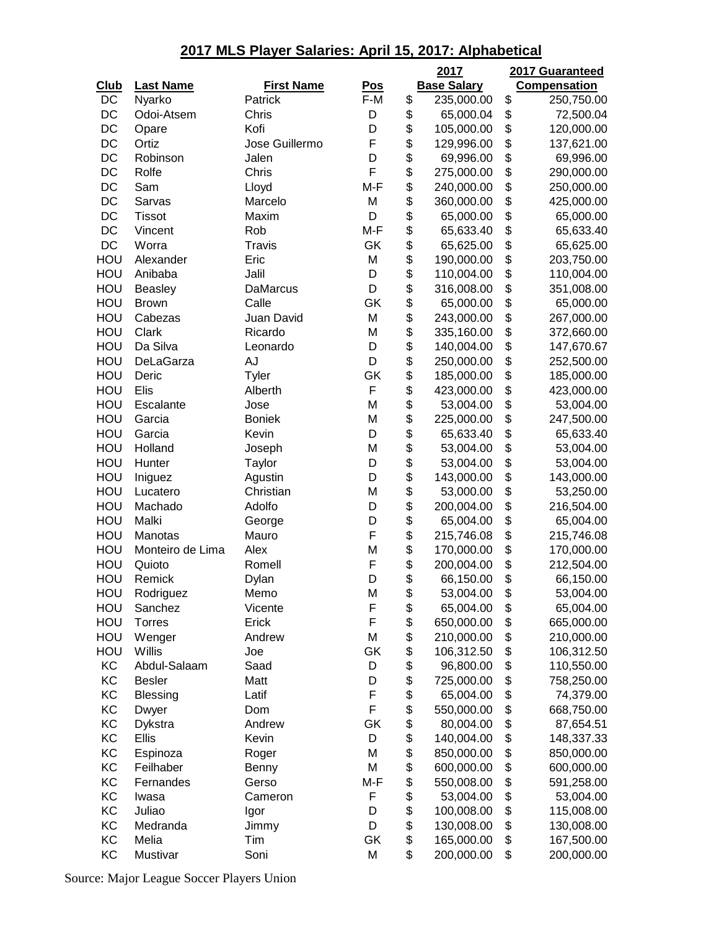|             |                  |                   |            | 2017               | 2017 Guaranteed     |
|-------------|------------------|-------------------|------------|--------------------|---------------------|
| <b>Club</b> | <b>Last Name</b> | <b>First Name</b> | <u>Pos</u> | <b>Base Salary</b> | <b>Compensation</b> |
| DC          | Nyarko           | Patrick           | F-M        | \$<br>235,000.00   | \$<br>250,750.00    |
| DC          | Odoi-Atsem       | Chris             | D          | \$<br>65,000.04    | \$<br>72,500.04     |
| DC          | Opare            | Kofi              | D          | \$<br>105,000.00   | \$<br>120,000.00    |
| DC          | Ortiz            | Jose Guillermo    | F          | \$<br>129,996.00   | \$<br>137,621.00    |
| DC          | Robinson         | Jalen             | D          | \$<br>69,996.00    | \$<br>69,996.00     |
| DC          | Rolfe            | Chris             | F          | \$<br>275,000.00   | \$<br>290,000.00    |
| DC          | Sam              | Lloyd             | M-F        | \$<br>240,000.00   | \$<br>250,000.00    |
| DC          | Sarvas           | Marcelo           | M          | \$<br>360,000.00   | \$<br>425,000.00    |
| DC          | <b>Tissot</b>    | Maxim             | D          | \$<br>65,000.00    | \$<br>65,000.00     |
| DC          | Vincent          | Rob               | M-F        | \$<br>65,633.40    | \$<br>65,633.40     |
| DC          | Worra            | Travis            | GK         | \$<br>65,625.00    | \$<br>65,625.00     |
| HOU         | Alexander        | Eric              | M          | \$<br>190,000.00   | \$<br>203,750.00    |
| HOU         | Anibaba          | Jalil             | D          | \$<br>110,004.00   | \$<br>110,004.00    |
| HOU         | <b>Beasley</b>   | <b>DaMarcus</b>   | D          | \$<br>316,008.00   | \$<br>351,008.00    |
| HOU         | <b>Brown</b>     | Calle             | GK         | \$<br>65,000.00    | \$<br>65,000.00     |
| HOU         | Cabezas          | Juan David        | M          | \$<br>243,000.00   | \$<br>267,000.00    |
| HOU         | Clark            | Ricardo           | M          | \$<br>335,160.00   | \$<br>372,660.00    |
| HOU         | Da Silva         | Leonardo          | D          | \$<br>140,004.00   | \$<br>147,670.67    |
| HOU         | DeLaGarza        | AJ                | D          | \$<br>250,000.00   | \$<br>252,500.00    |
| HOU         | Deric            | Tyler             | GK         | \$<br>185,000.00   | \$<br>185,000.00    |
| HOU         | Elis             | Alberth           | F          | \$<br>423,000.00   | \$<br>423,000.00    |
| HOU         | Escalante        | Jose              | M          | \$<br>53,004.00    | \$<br>53,004.00     |
| HOU         | Garcia           | <b>Boniek</b>     | M          | \$<br>225,000.00   | \$<br>247,500.00    |
| HOU         | Garcia           | Kevin             | D          | \$<br>65,633.40    | \$<br>65,633.40     |
| HOU         | Holland          | Joseph            | M          | \$<br>53,004.00    | \$<br>53,004.00     |
| HOU         | Hunter           | Taylor            | D          | \$<br>53,004.00    | \$<br>53,004.00     |
| HOU         | Iniguez          | Agustin           | D          | \$<br>143,000.00   | \$<br>143,000.00    |
| HOU         | Lucatero         | Christian         | M          | \$<br>53,000.00    | \$<br>53,250.00     |
| HOU         | Machado          | Adolfo            | D          | \$<br>200,004.00   | \$<br>216,504.00    |
| HOU         | Malki            | George            | D          | \$<br>65,004.00    | \$<br>65,004.00     |
| HOU         | Manotas          | Mauro             | F          | \$<br>215,746.08   | \$<br>215,746.08    |
| HOU         | Monteiro de Lima | Alex              | M          | \$<br>170,000.00   | \$<br>170,000.00    |
| HOU         | Quioto           | Romell            | F          | \$<br>200,004.00   | \$<br>212,504.00    |
| HOU         | Remick           | Dylan             | D          | \$<br>66,150.00    | \$<br>66,150.00     |
| HOU         | Rodriguez        | Memo              | M          | \$<br>53,004.00    | \$<br>53,004.00     |
| HOU         | Sanchez          | Vicente           | F          | \$<br>65,004.00    | \$<br>65,004.00     |
| HOU         | <b>Torres</b>    | Erick             | F          | \$<br>650,000.00   | \$<br>665,000.00    |
| HOU         | Wenger           | Andrew            | M          | \$<br>210,000.00   | \$<br>210,000.00    |
| HOU         | Willis           | Joe               | GK         | \$<br>106,312.50   | \$<br>106,312.50    |
| KC          | Abdul-Salaam     | Saad              | D          | \$<br>96,800.00    | \$<br>110,550.00    |
| KC          | <b>Besler</b>    | Matt              | D          | \$<br>725,000.00   | \$<br>758,250.00    |
| KC          | <b>Blessing</b>  | Latif             | F          | \$<br>65,004.00    | \$<br>74,379.00     |
| KC          | Dwyer            | Dom               | F          | \$<br>550,000.00   | \$<br>668,750.00    |
| KC          | Dykstra          | Andrew            | GK         | \$<br>80,004.00    | \$<br>87,654.51     |
| KC          | Ellis            | Kevin             | D          | \$<br>140,004.00   | \$<br>148,337.33    |
| KC          | Espinoza         | Roger             | M          | \$<br>850,000.00   | \$<br>850,000.00    |
| KC          | Feilhaber        | Benny             | M          | \$<br>600,000.00   | \$<br>600,000.00    |
| KC          | Fernandes        | Gerso             | M-F        | \$<br>550,008.00   | \$<br>591,258.00    |
| KC          | Iwasa            | Cameron           | F          | \$<br>53,004.00    | \$<br>53,004.00     |
| KC          | Juliao           | Igor              | D          | \$<br>100,008.00   | \$<br>115,008.00    |
| KC          | Medranda         | Jimmy             | D          | \$<br>130,008.00   | \$<br>130,008.00    |
| KC          | Melia            | Tim               | GK         | \$<br>165,000.00   | \$<br>167,500.00    |
| KC          | Mustivar         | Soni              | M          | \$<br>200,000.00   | \$<br>200,000.00    |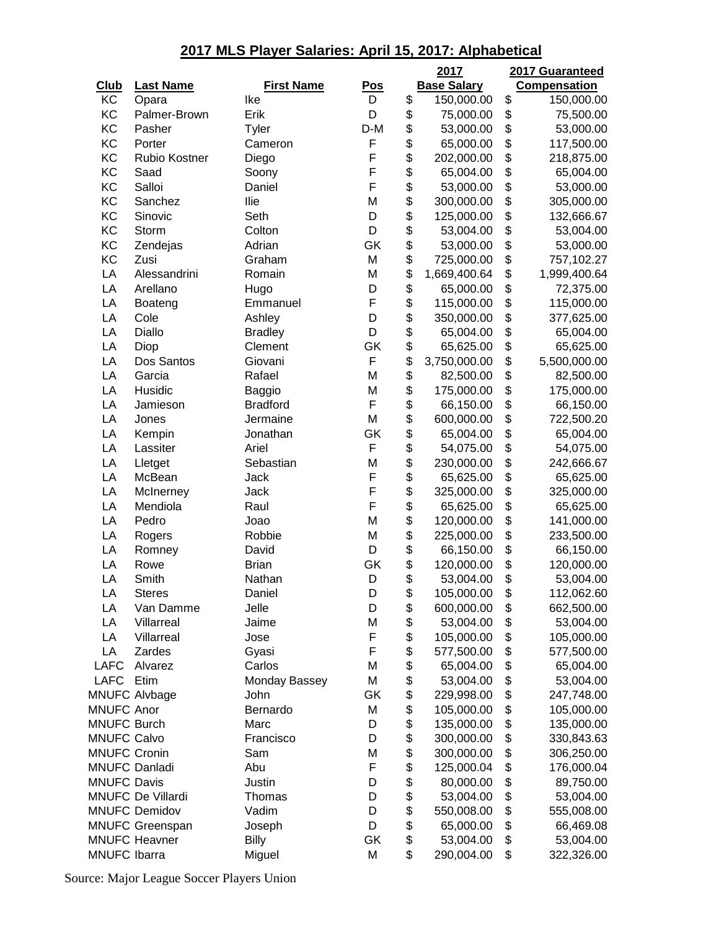|                     |                          |                   |            | 2017               | 2017 Guaranteed     |
|---------------------|--------------------------|-------------------|------------|--------------------|---------------------|
| <b>Club</b>         | <b>Last Name</b>         | <b>First Name</b> | <b>Pos</b> | <b>Base Salary</b> | <b>Compensation</b> |
| KC                  | Opara                    | Ike               | D          | \$<br>150,000.00   | \$<br>150,000.00    |
| KC                  | Palmer-Brown             | Erik              | D          | \$<br>75,000.00    | \$<br>75,500.00     |
| KC                  | Pasher                   | Tyler             | $D-M$      | \$<br>53,000.00    | \$<br>53,000.00     |
| KC                  | Porter                   | Cameron           | F          | \$<br>65,000.00    | \$<br>117,500.00    |
| KC                  | <b>Rubio Kostner</b>     | Diego             | F          | \$<br>202,000.00   | \$<br>218,875.00    |
| KC                  | Saad                     | Soony             | F          | \$<br>65,004.00    | \$<br>65,004.00     |
| KC                  | Salloi                   | Daniel            | F          | \$<br>53,000.00    | \$<br>53,000.00     |
| KC                  | Sanchez                  | Ilie              | M          | \$<br>300,000.00   | \$<br>305,000.00    |
| KC                  | Sinovic                  | Seth              | D          | \$<br>125,000.00   | \$<br>132,666.67    |
| KC                  | Storm                    | Colton            | D          | \$<br>53,004.00    | \$<br>53,004.00     |
| KC                  | Zendejas                 | Adrian            | GK         | \$<br>53,000.00    | \$<br>53,000.00     |
| KC                  | Zusi                     | Graham            | M          | \$<br>725,000.00   | \$<br>757,102.27    |
| LA                  | Alessandrini             | Romain            | M          | \$<br>1,669,400.64 | \$<br>1,999,400.64  |
| LA                  | Arellano                 | Hugo              | D          | \$<br>65,000.00    | \$<br>72,375.00     |
| LA                  | Boateng                  | Emmanuel          | F          | \$<br>115,000.00   | \$<br>115,000.00    |
| LA                  | Cole                     | Ashley            | D          | \$<br>350,000.00   | \$<br>377,625.00    |
| LA                  | Diallo                   | <b>Bradley</b>    | D          | \$<br>65,004.00    | \$<br>65,004.00     |
| LA                  | Diop                     | Clement           | GK         | \$<br>65,625.00    | \$<br>65,625.00     |
| LA                  | Dos Santos               | Giovani           | F          | \$<br>3,750,000.00 | \$                  |
| LA                  |                          | Rafael            | M          |                    | 5,500,000.00        |
|                     | Garcia                   |                   |            | \$<br>82,500.00    | \$<br>82,500.00     |
| LA                  | Husidic                  | <b>Baggio</b>     | M          | \$<br>175,000.00   | \$<br>175,000.00    |
| LA                  | Jamieson                 | <b>Bradford</b>   | F          | \$<br>66,150.00    | \$<br>66,150.00     |
| LA                  | Jones                    | Jermaine          | M          | \$<br>600,000.00   | \$<br>722,500.20    |
| LA                  | Kempin                   | Jonathan          | GK         | \$<br>65,004.00    | \$<br>65,004.00     |
| LA                  | Lassiter                 | Ariel             | F          | \$<br>54,075.00    | \$<br>54,075.00     |
| LA                  | Lletget                  | Sebastian         | M          | \$<br>230,000.00   | \$<br>242,666.67    |
| LA                  | McBean                   | Jack              | F          | \$<br>65,625.00    | \$<br>65,625.00     |
| LA                  | McInerney                | Jack              | F          | \$<br>325,000.00   | \$<br>325,000.00    |
| LA                  | Mendiola                 | Raul              | F          | \$<br>65,625.00    | \$<br>65,625.00     |
| LA                  | Pedro                    | Joao              | M          | \$<br>120,000.00   | \$<br>141,000.00    |
| LA                  | Rogers                   | Robbie            | M          | \$<br>225,000.00   | \$<br>233,500.00    |
| LA                  | Romney                   | David             | D          | \$<br>66,150.00    | \$<br>66,150.00     |
| LA                  | Rowe                     | <b>Brian</b>      | GK         | \$<br>120,000.00   | \$<br>120,000.00    |
| LA                  | Smith                    | Nathan            | D          | \$<br>53,004.00    | \$<br>53,004.00     |
| LA                  | <b>Steres</b>            | Daniel            | D          | \$<br>105,000.00   | \$<br>112,062.60    |
| LA                  | Van Damme                | Jelle             | D          | \$<br>600,000.00   | \$<br>662,500.00    |
| LA                  | Villarreal               | Jaime             | M          | \$<br>53,004.00    | \$<br>53,004.00     |
| LA                  | Villarreal               | Jose              | F          | \$<br>105,000.00   | \$<br>105,000.00    |
| LA                  | Zardes                   | Gyasi             | F          | \$<br>577,500.00   | \$<br>577,500.00    |
| <b>LAFC</b>         | Alvarez                  | Carlos            | M          | \$<br>65,004.00    | \$<br>65,004.00     |
| <b>LAFC</b>         | Etim                     | Monday Bassey     | M          | \$<br>53,004.00    | \$<br>53,004.00     |
|                     | <b>MNUFC Alvbage</b>     | John              | GK         | \$<br>229,998.00   | \$<br>247,748.00    |
| <b>MNUFC Anor</b>   |                          | Bernardo          | M          | \$<br>105,000.00   | \$<br>105,000.00    |
| <b>MNUFC Burch</b>  |                          | Marc              | D          | \$<br>135,000.00   | \$<br>135,000.00    |
| <b>MNUFC Calvo</b>  |                          | Francisco         | D          | \$<br>300,000.00   | \$<br>330,843.63    |
| <b>MNUFC Cronin</b> |                          | Sam               | M          | \$<br>300,000.00   | \$<br>306,250.00    |
|                     | <b>MNUFC Danladi</b>     | Abu               | F          | \$<br>125,000.04   | \$<br>176,000.04    |
| <b>MNUFC Davis</b>  |                          | Justin            | D          | \$<br>80,000.00    | \$<br>89,750.00     |
|                     | <b>MNUFC De Villardi</b> | Thomas            | D          | \$<br>53,004.00    | \$<br>53,004.00     |
|                     | <b>MNUFC Demidov</b>     | Vadim             | D          | \$<br>550,008.00   | \$<br>555,008.00    |
|                     | <b>MNUFC Greenspan</b>   | Joseph            | D          | \$<br>65,000.00    | \$<br>66,469.08     |
|                     | <b>MNUFC Heavner</b>     | Billy             | GK         | \$<br>53,004.00    | \$<br>53,004.00     |
| <b>MNUFC Ibarra</b> |                          |                   | M          | \$<br>290,004.00   | \$<br>322,326.00    |
|                     |                          | Miguel            |            |                    |                     |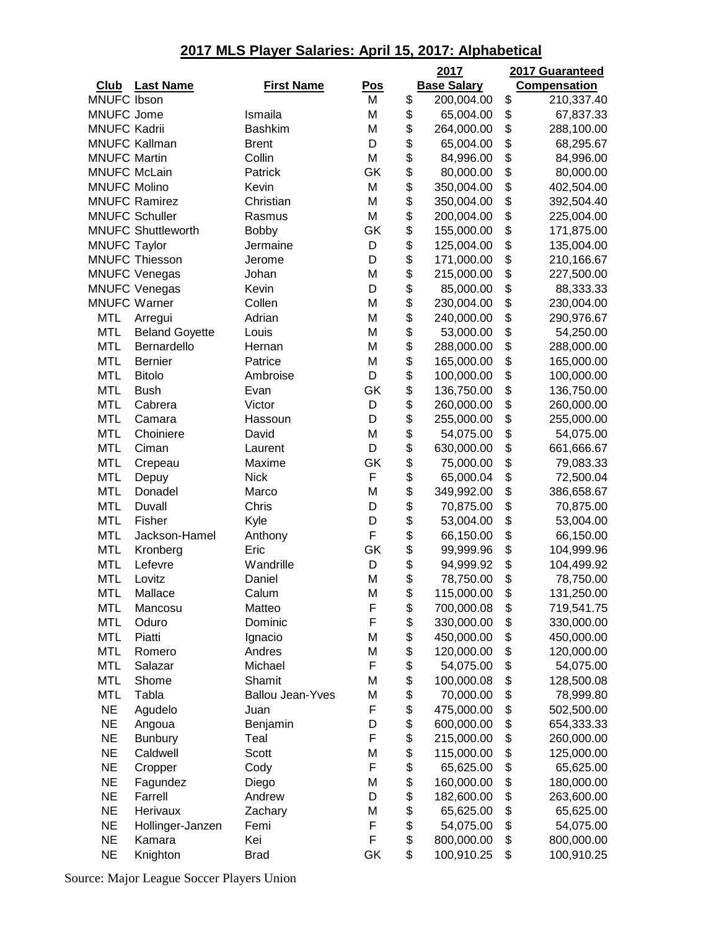|                     |                           |                         |            | 2017               |          | 2017 Guaranteed     |
|---------------------|---------------------------|-------------------------|------------|--------------------|----------|---------------------|
| <b>Club</b>         | <b>Last Name</b>          | <b>First Name</b>       | <u>Pos</u> | <b>Base Salary</b> |          | <b>Compensation</b> |
| <b>MNUFC Ibson</b>  |                           |                         | M          | \$<br>200,004.00   | \$       | 210,337.40          |
| <b>MNUFC Jome</b>   |                           | Ismaila                 | M          | \$<br>65,004.00    | \$       | 67,837.33           |
| <b>MNUFC Kadrii</b> |                           | <b>Bashkim</b>          | M          | \$<br>264,000.00   | \$       | 288,100.00          |
|                     | <b>MNUFC Kallman</b>      | <b>Brent</b>            | D          | \$<br>65,004.00    | \$       | 68,295.67           |
| <b>MNUFC Martin</b> |                           | Collin                  | M          | \$<br>84,996.00    | \$       | 84,996.00           |
| <b>MNUFC McLain</b> |                           | Patrick                 | GK         | \$<br>80,000.00    | \$       | 80,000.00           |
| <b>MNUFC Molino</b> |                           | Kevin                   | M          | \$<br>350,004.00   | \$       | 402,504.00          |
|                     | <b>MNUFC Ramirez</b>      | Christian               | M          | \$<br>350,004.00   | \$       | 392,504.40          |
|                     | <b>MNUFC Schuller</b>     | Rasmus                  | M          | \$<br>200,004.00   | \$       | 225,004.00          |
|                     | <b>MNUFC Shuttleworth</b> | <b>Bobby</b>            | GK         | \$<br>155,000.00   | \$       | 171,875.00          |
| <b>MNUFC Taylor</b> |                           | Jermaine                | D          | \$<br>125,004.00   | \$       | 135,004.00          |
|                     | <b>MNUFC Thiesson</b>     | Jerome                  | D          | \$<br>171,000.00   | \$       | 210,166.67          |
|                     | <b>MNUFC Venegas</b>      | Johan                   | M          | \$<br>215,000.00   | \$       | 227,500.00          |
|                     | <b>MNUFC Venegas</b>      | Kevin                   | D          | \$<br>85,000.00    | \$       | 88,333.33           |
| <b>MNUFC Warner</b> |                           | Collen                  | M          | \$<br>230,004.00   | \$       | 230,004.00          |
| <b>MTL</b>          | Arregui                   | Adrian                  | M          | \$<br>240,000.00   | \$       | 290,976.67          |
| <b>MTL</b>          | <b>Beland Goyette</b>     | Louis                   | M          | \$<br>53,000.00    | \$       | 54,250.00           |
| <b>MTL</b>          | Bernardello               | Hernan                  | M          | \$<br>288,000.00   | \$       | 288,000.00          |
| <b>MTL</b>          | <b>Bernier</b>            | Patrice                 | M          | \$<br>165,000.00   | \$       | 165,000.00          |
| <b>MTL</b>          | <b>Bitolo</b>             | Ambroise                | D          | \$<br>100,000.00   | \$       | 100,000.00          |
| <b>MTL</b>          | <b>Bush</b>               | Evan                    | GK         | \$<br>136,750.00   | \$       | 136,750.00          |
| <b>MTL</b>          | Cabrera                   | Victor                  | D          | \$<br>260,000.00   | \$       | 260,000.00          |
| MTL                 | Camara                    | Hassoun                 | D          | \$<br>255,000.00   | \$       | 255,000.00          |
| <b>MTL</b>          | Choiniere                 | David                   | M          | \$<br>54,075.00    | \$       | 54,075.00           |
| <b>MTL</b>          | Ciman                     | Laurent                 | D          | \$<br>630,000.00   | \$       | 661,666.67          |
| <b>MTL</b>          | Crepeau                   | Maxime                  | GK         | \$<br>75,000.00    | \$       | 79,083.33           |
| <b>MTL</b>          |                           | <b>Nick</b>             | F          | \$<br>65,000.04    | \$       | 72,500.04           |
| <b>MTL</b>          | Depuy<br>Donadel          | Marco                   | M          | \$<br>349,992.00   | \$       | 386,658.67          |
| <b>MTL</b>          | Duvall                    | Chris                   | D          | \$<br>70,875.00    | \$       | 70,875.00           |
| <b>MTL</b>          | Fisher                    |                         | D          | \$<br>53,004.00    | \$       |                     |
|                     |                           | Kyle                    | F          | \$                 |          | 53,004.00           |
| <b>MTL</b>          | Jackson-Hamel             | Anthony<br>Eric         | GK         | \$<br>66,150.00    | \$<br>\$ | 66,150.00           |
| <b>MTL</b>          | Kronberg<br>Lefevre       |                         | D          | 99,999.96          | \$       | 104,999.96          |
| <b>MTL</b>          |                           | Wandrille               |            | \$<br>94,999.92    |          | 104,499.92          |
| <b>MTL</b>          | Lovitz                    | Daniel                  | M          | \$<br>78,750.00    | \$       | 78,750.00           |
| <b>MTL</b>          | Mallace                   | Calum                   | М          | \$<br>115,000.00   | \$       | 131,250.00          |
| <b>MTL</b>          | Mancosu                   | Matteo                  | F          | \$<br>700,000.08   | \$       | 719,541.75          |
| <b>MTL</b>          | Oduro                     | Dominic                 | F          | \$<br>330,000.00   | \$       | 330,000.00          |
| <b>MTL</b>          | Piatti                    | Ignacio                 | Μ          | \$<br>450,000.00   | \$       | 450,000.00          |
| <b>MTL</b>          | Romero                    | Andres                  | M          | \$<br>120,000.00   | \$       | 120,000.00          |
| <b>MTL</b>          | Salazar                   | Michael                 | F          | \$<br>54,075.00    | \$       | 54,075.00           |
| <b>MTL</b>          | Shome                     | Shamit                  | Μ          | \$<br>100,000.08   | \$       | 128,500.08          |
| <b>MTL</b>          | Tabla                     | <b>Ballou Jean-Yves</b> | M          | \$<br>70,000.00    | \$       | 78,999.80           |
| <b>NE</b>           | Agudelo                   | Juan                    | F          | \$<br>475,000.00   | \$       | 502,500.00          |
| <b>NE</b>           | Angoua                    | Benjamin                | D          | \$<br>600,000.00   | \$       | 654,333.33          |
| <b>NE</b>           | <b>Bunbury</b>            | Teal                    | F          | \$<br>215,000.00   | \$       | 260,000.00          |
| <b>NE</b>           | Caldwell                  | Scott                   | М          | \$<br>115,000.00   | \$       | 125,000.00          |
| <b>NE</b>           | Cropper                   | Cody                    | F          | \$<br>65,625.00    | \$       | 65,625.00           |
| <b>NE</b>           | Fagundez                  | Diego                   | М          | \$<br>160,000.00   | \$       | 180,000.00          |
| <b>NE</b>           | Farrell                   | Andrew                  | D          | \$<br>182,600.00   | \$       | 263,600.00          |
| <b>NE</b>           | Herivaux                  | Zachary                 | М          | \$<br>65,625.00    | \$       | 65,625.00           |
| <b>NE</b>           | Hollinger-Janzen          | Femi                    | F          | \$<br>54,075.00    | \$       | 54,075.00           |
| <b>NE</b>           | Kamara                    | Kei                     | F          | \$<br>800,000.00   | \$       | 800,000.00          |
| <b>NE</b>           | Knighton                  | <b>Brad</b>             | GK         | \$<br>100,910.25   | \$       | 100,910.25          |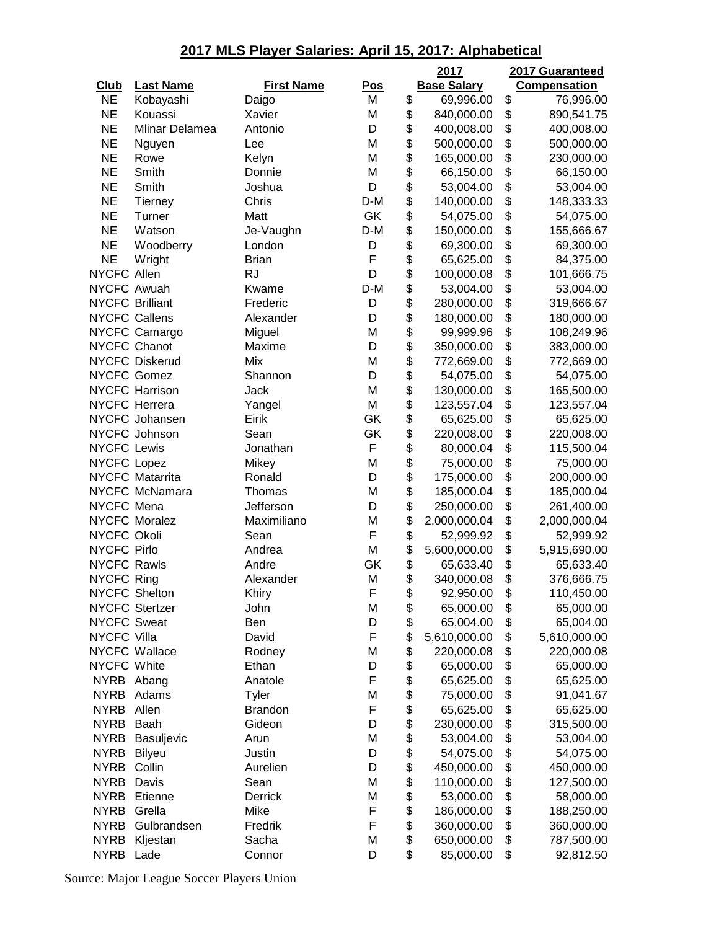|                        |                        |                   |            | 2017                          | 2017 Guaranteed     |
|------------------------|------------------------|-------------------|------------|-------------------------------|---------------------|
| <b>Club</b>            | <b>Last Name</b>       | <b>First Name</b> | <u>Pos</u> | <b>Base Salary</b>            | <b>Compensation</b> |
| <b>NE</b>              | Kobayashi              | Daigo             | M          | \$<br>69,996.00               | \$<br>76,996.00     |
| <b>NE</b>              | Kouassi                | Xavier            | M          | \$<br>840,000.00              | \$<br>890,541.75    |
| <b>NE</b>              | Mlinar Delamea         | Antonio           | D          | \$<br>400,008.00              | \$<br>400,008.00    |
| <b>NE</b>              | Nguyen                 | Lee               | M          | \$<br>500,000.00              | \$<br>500,000.00    |
| <b>NE</b>              | Rowe                   | Kelyn             | M          | \$<br>165,000.00              | \$<br>230,000.00    |
| <b>NE</b>              | Smith                  | Donnie            | M          | \$<br>66,150.00               | \$<br>66,150.00     |
| <b>NE</b>              | Smith                  | Joshua            | D          | \$<br>53,004.00               | \$<br>53,004.00     |
| <b>NE</b>              | <b>Tierney</b>         | Chris             | D-M        | \$<br>140,000.00              | \$<br>148,333.33    |
| <b>NE</b>              | Turner                 | Matt              | GK         | \$<br>54,075.00               | \$<br>54,075.00     |
| <b>NE</b>              | Watson                 | Je-Vaughn         | D-M        | \$<br>150,000.00              | \$<br>155,666.67    |
| <b>NE</b>              | Woodberry              | London            | D          | \$<br>69,300.00               | \$<br>69,300.00     |
| <b>NE</b>              | Wright                 | <b>Brian</b>      | F          | \$<br>65,625.00               | \$<br>84,375.00     |
| NYCFC Allen            |                        | <b>RJ</b>         | D          | \$<br>100,000.08              | \$<br>101,666.75    |
| NYCFC Awuah            |                        | Kwame             | D-M        | \$<br>53,004.00               | \$<br>53,004.00     |
| <b>NYCFC Brilliant</b> |                        | Frederic          | D          | \$<br>280,000.00              | \$<br>319,666.67    |
| <b>NYCFC Callens</b>   |                        | Alexander         | D          | \$<br>180,000.00              | \$<br>180,000.00    |
|                        | NYCFC Camargo          | Miguel            | M          | \$<br>99,999.96               | \$<br>108,249.96    |
| NYCFC Chanot           |                        | Maxime            | D          | \$<br>350,000.00              | \$<br>383,000.00    |
|                        | <b>NYCFC Diskerud</b>  | Mix               | M          | \$<br>772,669.00              | \$<br>772,669.00    |
| NYCFC Gomez            |                        | Shannon           | D          | \$<br>54,075.00               | \$<br>54,075.00     |
|                        | <b>NYCFC Harrison</b>  | Jack              | M          | \$<br>130,000.00              | \$<br>165,500.00    |
| <b>NYCFC Herrera</b>   |                        | Yangel            | M          | \$<br>123,557.04              | \$<br>123,557.04    |
|                        | NYCFC Johansen         | Eirik             | GK         | \$<br>65,625.00               | \$<br>65,625.00     |
|                        | NYCFC Johnson          | Sean              | GK         | \$<br>220,008.00              | \$<br>220,008.00    |
| <b>NYCFC Lewis</b>     |                        | Jonathan          | F          | \$<br>80,000.04               | \$<br>115,500.04    |
| NYCFC Lopez            |                        | Mikey             | M          | \$<br>75,000.00               | \$<br>75,000.00     |
|                        | <b>NYCFC Matarrita</b> | Ronald            | D          | \$<br>175,000.00              | \$<br>200,000.00    |
|                        | NYCFC McNamara         | Thomas            | M          | \$<br>185,000.04              | \$<br>185,000.04    |
| NYCFC Mena             |                        | Jefferson         | D          | \$<br>250,000.00              | \$<br>261,400.00    |
|                        | <b>NYCFC Moralez</b>   | Maximiliano       | M          | \$<br>2,000,000.04            | \$<br>2,000,000.04  |
| NYCFC Okoli            |                        | Sean              | F          | \$<br>52,999.92               | \$<br>52,999.92     |
| <b>NYCFC Pirlo</b>     |                        | Andrea            | M          | \$<br>5,600,000.00            | \$<br>5,915,690.00  |
| <b>NYCFC Rawls</b>     |                        | Andre             | GK         | \$                            | \$                  |
| <b>NYCFC Ring</b>      |                        |                   | M          | \$<br>65,633.40<br>340,000.08 | \$<br>65,633.40     |
| <b>NYCFC Shelton</b>   |                        | Alexander         | F          |                               | 376,666.75          |
|                        |                        | Khiry             |            | \$<br>92,950.00               | \$<br>110,450.00    |
|                        | <b>NYCFC Stertzer</b>  | John              | М          | \$<br>65,000.00               | \$<br>65,000.00     |
| <b>NYCFC Sweat</b>     |                        | Ben               | D          | \$<br>65,004.00               | \$<br>65,004.00     |
| <b>NYCFC Villa</b>     |                        | David             | F          | \$<br>5,610,000.00            | \$<br>5,610,000.00  |
|                        | NYCFC Wallace          | Rodney            | M          | \$<br>220,000.08              | \$<br>220,000.08    |
| NYCFC White            |                        | Ethan             | D          | \$<br>65,000.00               | \$<br>65,000.00     |
| <b>NYRB</b>            | Abang                  | Anatole           | F          | \$<br>65,625.00               | \$<br>65,625.00     |
| <b>NYRB</b>            | Adams                  | Tyler             | M          | \$<br>75,000.00               | \$<br>91,041.67     |
| <b>NYRB</b>            | Allen                  | <b>Brandon</b>    | F          | \$<br>65,625.00               | \$<br>65,625.00     |
| <b>NYRB</b>            | Baah                   | Gideon            | D          | \$<br>230,000.00              | \$<br>315,500.00    |
| <b>NYRB</b>            | Basuljevic             | Arun              | M          | \$<br>53,004.00               | \$<br>53,004.00     |
| <b>NYRB</b>            | Bilyeu                 | Justin            | D          | \$<br>54,075.00               | \$<br>54,075.00     |
| <b>NYRB</b>            | Collin                 | Aurelien          | D          | \$<br>450,000.00              | \$<br>450,000.00    |
| <b>NYRB</b>            | Davis                  | Sean              | M          | \$<br>110,000.00              | \$<br>127,500.00    |
| <b>NYRB</b>            | Etienne                | Derrick           | M          | \$<br>53,000.00               | \$<br>58,000.00     |
| <b>NYRB</b>            | Grella                 | Mike              | F          | \$<br>186,000.00              | \$<br>188,250.00    |
| <b>NYRB</b>            | Gulbrandsen            | Fredrik           | F          | \$<br>360,000.00              | \$<br>360,000.00    |
| <b>NYRB</b>            | Kljestan               | Sacha             | M          | \$<br>650,000.00              | \$<br>787,500.00    |
| <b>NYRB</b>            | Lade                   | Connor            | D          | \$<br>85,000.00               | \$<br>92,812.50     |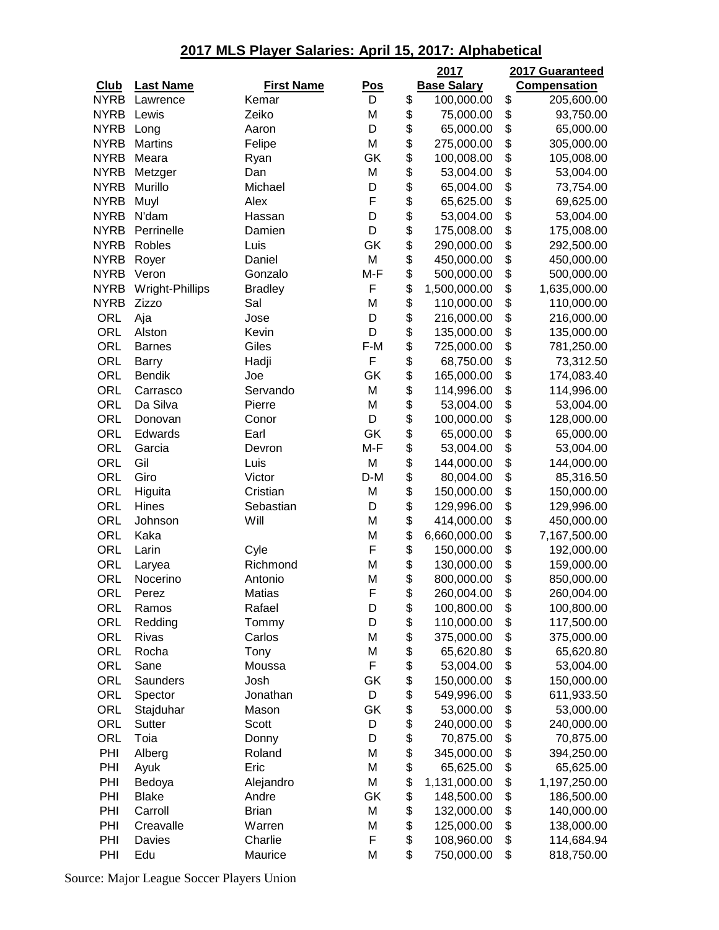|             |                    |                   |            |          | 2017                     |          | 2017 Guaranteed          |
|-------------|--------------------|-------------------|------------|----------|--------------------------|----------|--------------------------|
| <b>Club</b> | <b>Last Name</b>   | <b>First Name</b> | <u>Pos</u> |          | <b>Base Salary</b>       |          | <b>Compensation</b>      |
| <b>NYRB</b> | Lawrence           | Kemar             | D          | \$       | 100,000.00               | \$       | 205,600.00               |
| <b>NYRB</b> | Lewis              | Zeiko             | M          | \$       | 75,000.00                | \$       | 93,750.00                |
| <b>NYRB</b> | Long               | Aaron             | D          | \$       | 65,000.00                | \$       | 65,000.00                |
| <b>NYRB</b> | <b>Martins</b>     | Felipe            | M          | \$       | 275,000.00               | \$       | 305,000.00               |
| <b>NYRB</b> | Meara              | Ryan              | GK         | \$       | 100,008.00               | \$       | 105,008.00               |
| <b>NYRB</b> | Metzger            | Dan               | M          | \$       | 53,004.00                | \$       | 53,004.00                |
| <b>NYRB</b> | Murillo            | Michael           | D          | \$       | 65,004.00                | \$       | 73,754.00                |
| <b>NYRB</b> | Muyl               | Alex              | F          | \$       | 65,625.00                | \$       | 69,625.00                |
| <b>NYRB</b> | N'dam              | Hassan            | D          | \$       | 53,004.00                | \$       | 53,004.00                |
| <b>NYRB</b> | Perrinelle         | Damien            | D          | \$       | 175,008.00               | \$       | 175,008.00               |
| <b>NYRB</b> | Robles             | Luis              | GK         | \$       | 290,000.00               | \$       | 292,500.00               |
| <b>NYRB</b> | Royer              | Daniel            | M          | \$       | 450,000.00               | \$       | 450,000.00               |
| <b>NYRB</b> | Veron              | Gonzalo           | M-F        | \$       | 500,000.00               | \$       | 500,000.00               |
| <b>NYRB</b> | Wright-Phillips    | <b>Bradley</b>    | F          | \$       | 1,500,000.00             | \$       | 1,635,000.00             |
| <b>NYRB</b> | Zizzo              | Sal               | M          | \$       | 110,000.00               | \$       | 110,000.00               |
| ORL         | Aja                | Jose              | D          | \$       | 216,000.00               | \$       | 216,000.00               |
| <b>ORL</b>  | Alston             | Kevin             | D          | \$       | 135,000.00               | \$       | 135,000.00               |
| <b>ORL</b>  | <b>Barnes</b>      | Giles             | F-M        | \$       | 725,000.00               | \$       | 781,250.00               |
| ORL         | Barry              | Hadji             | F          | \$       | 68,750.00                | \$       | 73,312.50                |
| <b>ORL</b>  | <b>Bendik</b>      | Joe               | GK         | \$       | 165,000.00               | \$       | 174,083.40               |
| <b>ORL</b>  | Carrasco           | Servando          | M          | \$       | 114,996.00               | \$       | 114,996.00               |
| <b>ORL</b>  | Da Silva           | Pierre            | M          | \$       | 53,004.00                | \$       | 53,004.00                |
| <b>ORL</b>  | Donovan            | Conor             | D          | \$       | 100,000.00               | \$       | 128,000.00               |
| <b>ORL</b>  | Edwards            | Earl              | GK         | \$       | 65,000.00                | \$       | 65,000.00                |
| ORL         | Garcia             | Devron            | M-F        | \$       | 53,004.00                | \$       | 53,004.00                |
| <b>ORL</b>  | Gil                | Luis              | M          | \$       | 144,000.00               | \$       | 144,000.00               |
| <b>ORL</b>  | Giro               | Victor            | D-M        | \$       | 80,004.00                | \$       | 85,316.50                |
| <b>ORL</b>  | Higuita            | Cristian          | M          | \$       | 150,000.00               | \$       | 150,000.00               |
| <b>ORL</b>  | Hines              | Sebastian         | D          | \$       | 129,996.00               | \$       | 129,996.00               |
| <b>ORL</b>  | Johnson            | Will              | M<br>M     | \$<br>\$ | 414,000.00               | \$<br>\$ | 450,000.00               |
| ORL<br>ORL  | Kaka<br>Larin      |                   | F          | \$       | 6,660,000.00             | \$       | 7,167,500.00             |
| ORL         |                    | Cyle<br>Richmond  | M          | \$       | 150,000.00<br>130,000.00 | \$       | 192,000.00<br>159,000.00 |
| ORL         | Laryea<br>Nocerino | Antonio           | M          | \$       | 800,000.00               | \$       | 850,000.00               |
|             | Perez              | Matias            |            |          |                          |          |                          |
| ORL<br>ORL  | Ramos              | Rafael            | F<br>D     | \$<br>\$ | 260,004.00<br>100,800.00 | \$<br>\$ | 260,004.00<br>100,800.00 |
| ORL         | Redding            | Tommy             | D          | \$       | 110,000.00               | \$       | 117,500.00               |
| <b>ORL</b>  | Rivas              | Carlos            | M          | \$       | 375,000.00               | \$       | 375,000.00               |
| ORL         | Rocha              | Tony              | M          | \$       | 65,620.80                | \$       | 65,620.80                |
| ORL         | Sane               | Moussa            | F          | \$       | 53,004.00                | \$       | 53,004.00                |
| ORL         | Saunders           | Josh              | GK         | \$       | 150,000.00               | \$       | 150,000.00               |
| ORL         | Spector            | Jonathan          | D          | \$       | 549,996.00               | \$       | 611,933.50               |
| ORL         | Stajduhar          | Mason             | GK         | \$       | 53,000.00                | \$       | 53,000.00                |
| ORL         | <b>Sutter</b>      | Scott             | D          | \$       | 240,000.00               | \$       | 240,000.00               |
| ORL         | Toia               | Donny             | D          | \$       | 70,875.00                | \$       | 70,875.00                |
| PHI         | Alberg             | Roland            | M          | \$       | 345,000.00               | \$       | 394,250.00               |
| PHI         | Ayuk               | Eric              | M          | \$       | 65,625.00                | \$       | 65,625.00                |
| PHI         | Bedoya             | Alejandro         | M          | \$       | 1,131,000.00             | \$       | 1,197,250.00             |
| PHI         | <b>Blake</b>       | Andre             | GK         | \$       | 148,500.00               | \$       | 186,500.00               |
| PHI         | Carroll            | <b>Brian</b>      | M          | \$       | 132,000.00               | \$       | 140,000.00               |
| PHI         | Creavalle          | Warren            | M          | \$       | 125,000.00               | \$       | 138,000.00               |
| PHI         | Davies             | Charlie           | F          | \$       | 108,960.00               | \$       | 114,684.94               |
| PHI         | Edu                | Maurice           | M          | \$       | 750,000.00               | \$       | 818,750.00               |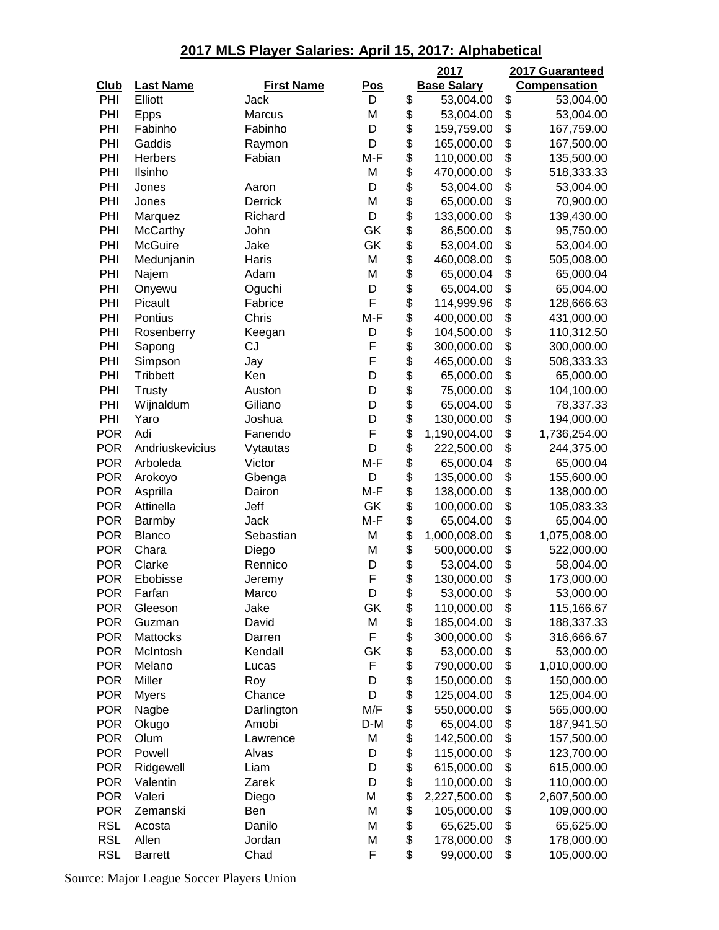|             |                  |                   |            | 2017               | 2017 Guaranteed     |
|-------------|------------------|-------------------|------------|--------------------|---------------------|
| <b>Club</b> | <b>Last Name</b> | <b>First Name</b> | <u>Pos</u> | <b>Base Salary</b> | <b>Compensation</b> |
| PHI         | Elliott          | Jack              | D          | \$<br>53,004.00    | \$<br>53,004.00     |
| PHI         | <b>Epps</b>      | <b>Marcus</b>     | M          | \$<br>53,004.00    | \$<br>53,004.00     |
| PHI         | Fabinho          | Fabinho           | D          | \$<br>159,759.00   | \$<br>167,759.00    |
| PHI         | Gaddis           | Raymon            | D          | \$<br>165,000.00   | \$<br>167,500.00    |
| PHI         | Herbers          | Fabian            | M-F        | \$<br>110,000.00   | \$<br>135,500.00    |
| PHI         | Ilsinho          |                   | M          | \$<br>470,000.00   | \$<br>518,333.33    |
| PHI         | Jones            | Aaron             | D          | \$<br>53,004.00    | \$<br>53,004.00     |
| PHI         | Jones            | Derrick           | M          | \$<br>65,000.00    | \$<br>70,900.00     |
| PHI         | Marquez          | Richard           | D          | \$<br>133,000.00   | \$<br>139,430.00    |
| PHI         | McCarthy         | John              | GK         | \$<br>86,500.00    | \$<br>95,750.00     |
| PHI         | <b>McGuire</b>   | Jake              | GK         | \$<br>53,004.00    | \$<br>53,004.00     |
| PHI         | Medunjanin       | Haris             | M          | \$<br>460,008.00   | \$<br>505,008.00    |
| PHI         | Najem            | Adam              | M          | \$<br>65,000.04    | \$<br>65,000.04     |
| PHI         | Onyewu           | Oguchi            | D          | \$<br>65,004.00    | \$<br>65,004.00     |
| PHI         | Picault          | Fabrice           | F          | \$<br>114,999.96   | \$<br>128,666.63    |
| PHI         | Pontius          | Chris             | $M-F$      | \$<br>400,000.00   | \$<br>431,000.00    |
| PHI         | Rosenberry       | Keegan            | D          | \$<br>104,500.00   | \$<br>110,312.50    |
| PHI         | Sapong           | CJ                | F          | \$<br>300,000.00   | \$<br>300,000.00    |
| PHI         | Simpson          | Jay               | F          | \$<br>465,000.00   | \$<br>508,333.33    |
| PHI         | <b>Tribbett</b>  | Ken               | D          | \$<br>65,000.00    | \$<br>65,000.00     |
| PHI         | <b>Trusty</b>    | Auston            | D          | \$<br>75,000.00    | \$<br>104,100.00    |
| PHI         | Wijnaldum        | Giliano           | D          | \$<br>65,004.00    | \$<br>78,337.33     |
| PHI         | Yaro             | Joshua            | D          | \$<br>130,000.00   | \$<br>194,000.00    |
| <b>POR</b>  | Adi              | Fanendo           | F          | \$<br>1,190,004.00 | \$<br>1,736,254.00  |
| <b>POR</b>  | Andriuskevicius  | Vytautas          | D          | \$<br>222,500.00   | \$<br>244,375.00    |
| <b>POR</b>  | Arboleda         | Victor            | M-F        | \$<br>65,000.04    | \$<br>65,000.04     |
| <b>POR</b>  | Arokoyo          | Gbenga            | D          | \$<br>135,000.00   | \$<br>155,600.00    |
| <b>POR</b>  | Asprilla         | Dairon            | M-F        | \$<br>138,000.00   | \$<br>138,000.00    |
| <b>POR</b>  | Attinella        | Jeff              | GK         | \$<br>100,000.00   | \$<br>105,083.33    |
| <b>POR</b>  | Barmby           | Jack              | M-F        | \$<br>65,004.00    | \$<br>65,004.00     |
| <b>POR</b>  | <b>Blanco</b>    | Sebastian         | M          | \$<br>1,000,008.00 | \$<br>1,075,008.00  |
| <b>POR</b>  | Chara            | Diego             | M          | \$<br>500,000.00   | \$<br>522,000.00    |
| <b>POR</b>  | Clarke           | Rennico           | D          | \$<br>53,004.00    | \$<br>58,004.00     |
| <b>POR</b>  | Ebobisse         | Jeremy            | F          | \$<br>130,000.00   | \$<br>173,000.00    |
| <b>POR</b>  | Farfan           | Marco             | D          | \$<br>53,000.00    | \$<br>53,000.00     |
| <b>POR</b>  | Gleeson          | Jake              | GK         | \$<br>110,000.00   | \$<br>115,166.67    |
| <b>POR</b>  | Guzman           | David             | M          | \$<br>185,004.00   | \$<br>188,337.33    |
| <b>POR</b>  | Mattocks         | Darren            | F          | \$<br>300,000.00   | \$<br>316,666.67    |
| <b>POR</b>  | McIntosh         | Kendall           | GK         | \$<br>53,000.00    | \$<br>53,000.00     |
| <b>POR</b>  | Melano           | Lucas             | F          | \$<br>790,000.00   | \$<br>1,010,000.00  |
| <b>POR</b>  | Miller           | Roy               | D          | \$<br>150,000.00   | \$<br>150,000.00    |
| <b>POR</b>  | <b>Myers</b>     | Chance            | D          | \$<br>125,004.00   | \$<br>125,004.00    |
| <b>POR</b>  | Nagbe            | Darlington        | M/F        | \$<br>550,000.00   | \$<br>565,000.00    |
| <b>POR</b>  | Okugo            | Amobi             | D-M        | \$<br>65,004.00    | \$<br>187,941.50    |
| <b>POR</b>  | Olum             | Lawrence          | M          | \$<br>142,500.00   | \$<br>157,500.00    |
| <b>POR</b>  | Powell           | Alvas             | D          | \$<br>115,000.00   | \$<br>123,700.00    |
| <b>POR</b>  | Ridgewell        | Liam              | D          | \$<br>615,000.00   | \$<br>615,000.00    |
| <b>POR</b>  | Valentin         | Zarek             | D          | \$<br>110,000.00   | \$<br>110,000.00    |
| <b>POR</b>  | Valeri           | Diego             | M          | \$<br>2,227,500.00 | \$<br>2,607,500.00  |
| <b>POR</b>  | Zemanski         | Ben               | M          | \$<br>105,000.00   | \$<br>109,000.00    |
| <b>RSL</b>  | Acosta           | Danilo            | M          | \$<br>65,625.00    | \$<br>65,625.00     |
| <b>RSL</b>  | Allen            | Jordan            | M          | \$<br>178,000.00   | \$<br>178,000.00    |
| <b>RSL</b>  | <b>Barrett</b>   | Chad              | F          | \$<br>99,000.00    | \$<br>105,000.00    |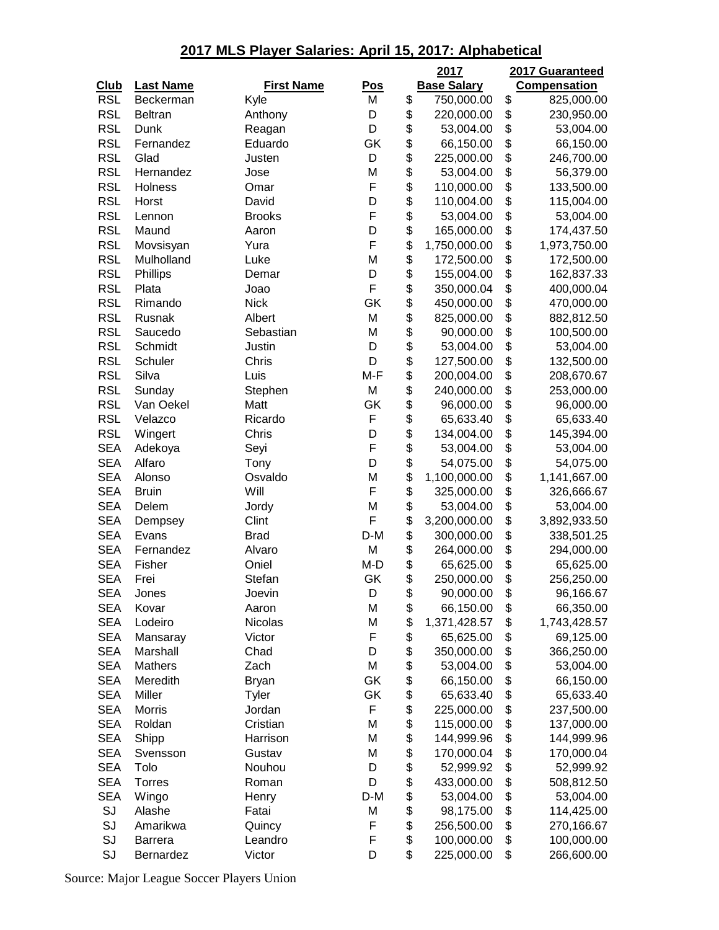|             |                   |                   |            | 2017               | 2017 Guaranteed     |
|-------------|-------------------|-------------------|------------|--------------------|---------------------|
| <b>Club</b> | <b>Last Name</b>  | <b>First Name</b> | <u>Pos</u> | <b>Base Salary</b> | <b>Compensation</b> |
| <b>RSL</b>  | Beckerman         | Kyle              | M          | \$<br>750,000.00   | \$<br>825,000.00    |
| <b>RSL</b>  | Beltran           | Anthony           | D          | \$<br>220,000.00   | \$<br>230,950.00    |
| <b>RSL</b>  | Dunk              | Reagan            | D          | \$<br>53,004.00    | \$<br>53,004.00     |
| <b>RSL</b>  | Fernandez         | Eduardo           | GK         | \$<br>66,150.00    | \$<br>66,150.00     |
| <b>RSL</b>  | Glad              | Justen            | D          | \$<br>225,000.00   | \$<br>246,700.00    |
| <b>RSL</b>  | Hernandez         | Jose              | M          | \$<br>53,004.00    | \$<br>56,379.00     |
| <b>RSL</b>  | Holness           | Omar              | F          | \$<br>110,000.00   | \$<br>133,500.00    |
| <b>RSL</b>  | Horst             | David             | D          | \$<br>110,004.00   | \$<br>115,004.00    |
| <b>RSL</b>  | Lennon            | <b>Brooks</b>     | F          | \$<br>53,004.00    | \$<br>53,004.00     |
| <b>RSL</b>  | Maund             | Aaron             | D          | \$<br>165,000.00   | \$<br>174,437.50    |
| <b>RSL</b>  | Movsisyan         | Yura              | F          | \$<br>1,750,000.00 | \$<br>1,973,750.00  |
| <b>RSL</b>  | Mulholland        | Luke              | M          | \$<br>172,500.00   | \$<br>172,500.00    |
| <b>RSL</b>  | Phillips          | Demar             | D          | \$<br>155,004.00   | \$<br>162,837.33    |
| <b>RSL</b>  | Plata             | Joao              | F          | \$<br>350,000.04   | \$<br>400,000.04    |
| <b>RSL</b>  | Rimando           | <b>Nick</b>       | GK         | \$<br>450,000.00   | \$<br>470,000.00    |
| <b>RSL</b>  | Rusnak            | Albert            | M          | \$<br>825,000.00   | \$<br>882,812.50    |
| <b>RSL</b>  | Saucedo           | Sebastian         | M          | \$<br>90,000.00    | \$<br>100,500.00    |
| <b>RSL</b>  | Schmidt           | Justin            | D          | \$<br>53,004.00    | \$<br>53,004.00     |
| <b>RSL</b>  | Schuler           | Chris             | D          | \$<br>127,500.00   | \$<br>132,500.00    |
| <b>RSL</b>  | Silva             | Luis              | M-F        | \$<br>200,004.00   | \$<br>208,670.67    |
| <b>RSL</b>  | Sunday            | Stephen           | M          | \$<br>240,000.00   | \$<br>253,000.00    |
| <b>RSL</b>  | Van Oekel         | Matt              | GK         | \$<br>96,000.00    | \$<br>96,000.00     |
| <b>RSL</b>  | Velazco           | Ricardo           | F          | \$<br>65,633.40    | \$<br>65,633.40     |
| <b>RSL</b>  |                   | Chris             | D          | \$<br>134,004.00   | \$<br>145,394.00    |
| <b>SEA</b>  | Wingert           |                   | F          | \$                 | \$                  |
| <b>SEA</b>  | Adekoya<br>Alfaro | Seyi              | D          | \$<br>53,004.00    | 53,004.00           |
|             |                   | Tony              |            | 54,075.00          | \$<br>54,075.00     |
| <b>SEA</b>  | Alonso            | Osvaldo<br>Will   | M<br>F     | \$<br>1,100,000.00 | \$<br>1,141,667.00  |
| <b>SEA</b>  | <b>Bruin</b>      |                   |            | \$<br>325,000.00   | \$<br>326,666.67    |
| <b>SEA</b>  | Delem             | Jordy             | M<br>F     | \$<br>53,004.00    | \$<br>53,004.00     |
| <b>SEA</b>  | Dempsey           | Clint             |            | \$<br>3,200,000.00 | \$<br>3,892,933.50  |
| <b>SEA</b>  | Evans             | <b>Brad</b>       | D-M        | \$<br>300,000.00   | \$<br>338,501.25    |
| <b>SEA</b>  | Fernandez         | Alvaro            | M          | \$<br>264,000.00   | \$<br>294,000.00    |
| <b>SEA</b>  | Fisher            | Oniel             | M-D        | \$<br>65,625.00    | \$<br>65,625.00     |
| <b>SEA</b>  | Frei              | Stefan            | GK         | \$<br>250,000.00   | \$<br>256,250.00    |
| <b>SEA</b>  | Jones             | Joevin            | D          | \$<br>90,000.00    | \$<br>96,166.67     |
| <b>SEA</b>  | Kovar             | Aaron             | M          | \$<br>66,150.00    | \$<br>66,350.00     |
| <b>SEA</b>  | Lodeiro           | Nicolas           | M          | \$<br>1,371,428.57 | \$<br>1,743,428.57  |
| <b>SEA</b>  | Mansaray          | Victor            | F          | \$<br>65,625.00    | \$<br>69,125.00     |
| <b>SEA</b>  | Marshall          | Chad              | D          | \$<br>350,000.00   | \$<br>366,250.00    |
| <b>SEA</b>  | <b>Mathers</b>    | Zach              | M          | \$<br>53,004.00    | \$<br>53,004.00     |
| <b>SEA</b>  | Meredith          | <b>Bryan</b>      | GK         | \$<br>66,150.00    | \$<br>66,150.00     |
| <b>SEA</b>  | Miller            | Tyler             | GK         | \$<br>65,633.40    | \$<br>65,633.40     |
| <b>SEA</b>  | <b>Morris</b>     | Jordan            | F          | \$<br>225,000.00   | \$<br>237,500.00    |
| <b>SEA</b>  | Roldan            | Cristian          | M          | \$<br>115,000.00   | \$<br>137,000.00    |
| <b>SEA</b>  | Shipp             | Harrison          | M          | \$<br>144,999.96   | \$<br>144,999.96    |
| <b>SEA</b>  | Svensson          | Gustav            | M          | \$<br>170,000.04   | \$<br>170,000.04    |
| <b>SEA</b>  | Tolo              | Nouhou            | D          | \$<br>52,999.92    | \$<br>52,999.92     |
| <b>SEA</b>  | <b>Torres</b>     | Roman             | D          | \$<br>433,000.00   | \$<br>508,812.50    |
| <b>SEA</b>  | Wingo             | Henry             | $D-M$      | \$<br>53,004.00    | \$<br>53,004.00     |
| SJ          | Alashe            | Fatai             | M          | \$<br>98,175.00    | \$<br>114,425.00    |
| SJ          | Amarikwa          | Quincy            | F          | \$<br>256,500.00   | \$<br>270,166.67    |
| SJ          | <b>Barrera</b>    | Leandro           | F          | \$<br>100,000.00   | \$<br>100,000.00    |
| SJ          | Bernardez         | Victor            | D          | \$<br>225,000.00   | \$<br>266,600.00    |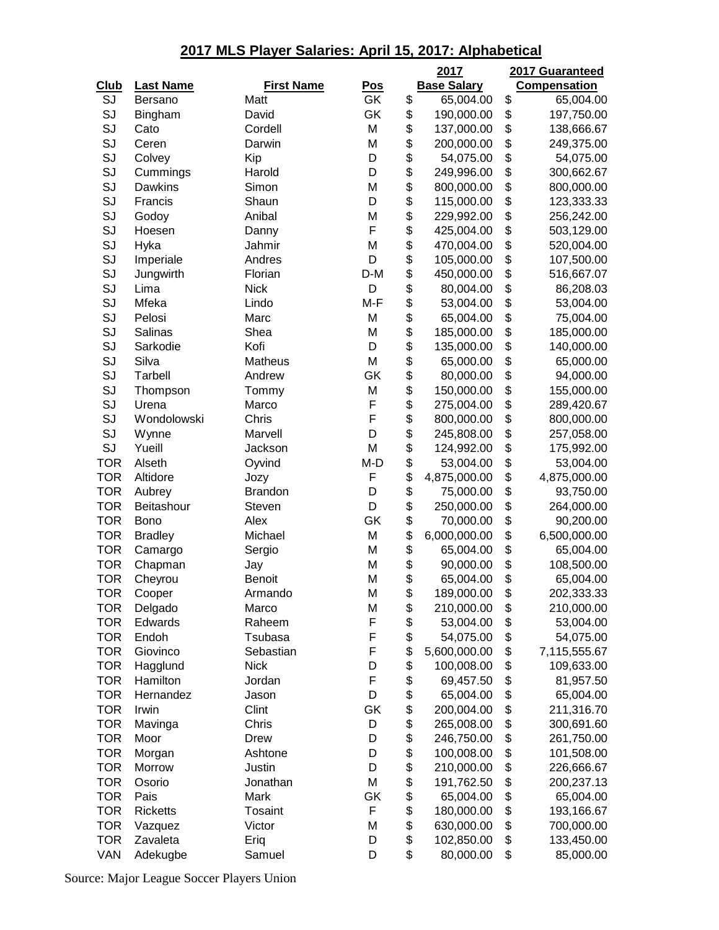|             |                  |                   |            | 2017               | 2017 Guaranteed     |
|-------------|------------------|-------------------|------------|--------------------|---------------------|
| <b>Club</b> | <b>Last Name</b> | <b>First Name</b> | <u>Pos</u> | <b>Base Salary</b> | <b>Compensation</b> |
| SJ          | Bersano          | Matt              | GK         | \$<br>65,004.00    | \$<br>65,004.00     |
| SJ          | Bingham          | David             | GK         | \$<br>190,000.00   | \$<br>197,750.00    |
| SJ          | Cato             | Cordell           | M          | \$<br>137,000.00   | \$<br>138,666.67    |
| SJ          | Ceren            | Darwin            | M          | \$<br>200,000.00   | \$<br>249,375.00    |
| SJ          | Colvey           | Kip               | D          | \$<br>54,075.00    | \$<br>54,075.00     |
| SJ          | Cummings         | Harold            | D          | \$<br>249,996.00   | \$<br>300,662.67    |
| SJ          | Dawkins          | Simon             | M          | \$<br>800,000.00   | \$<br>800,000.00    |
| SJ          | Francis          | Shaun             | D          | \$<br>115,000.00   | \$<br>123,333.33    |
| SJ          | Godoy            | Anibal            | M          | \$<br>229,992.00   | \$<br>256,242.00    |
| SJ          | Hoesen           | Danny             | F          | \$<br>425,004.00   | \$<br>503,129.00    |
| SJ          | Hyka             | Jahmir            | M          | \$<br>470,004.00   | \$<br>520,004.00    |
| SJ          | Imperiale        | Andres            | D          | \$<br>105,000.00   | \$<br>107,500.00    |
| SJ          | Jungwirth        | Florian           | D-M        | \$<br>450,000.00   | \$<br>516,667.07    |
| SJ          | Lima             | <b>Nick</b>       | D          | \$<br>80,004.00    | \$<br>86,208.03     |
| SJ          | Mfeka            | Lindo             | M-F        | \$<br>53,004.00    | \$<br>53,004.00     |
| SJ          | Pelosi           | Marc              | M          | \$<br>65,004.00    | \$<br>75,004.00     |
| SJ          | Salinas          | Shea              | M          | \$<br>185,000.00   | \$<br>185,000.00    |
| SJ          | Sarkodie         | Kofi              | D          | \$<br>135,000.00   | \$<br>140,000.00    |
| SJ          | Silva            | Matheus           | M          | \$<br>65,000.00    | \$<br>65,000.00     |
| SJ          | <b>Tarbell</b>   | Andrew            | GK         | \$<br>80,000.00    | \$<br>94,000.00     |
| SJ          | Thompson         | Tommy             | M          | \$<br>150,000.00   | \$<br>155,000.00    |
| SJ          | Urena            | Marco             | F          | \$<br>275,004.00   | \$<br>289,420.67    |
| SJ          | Wondolowski      | Chris             | F          | \$<br>800,000.00   | \$<br>800,000.00    |
| SJ          | Wynne            | Marvell           | D          | \$<br>245,808.00   | \$<br>257,058.00    |
| SJ          | Yueill           | Jackson           | M          | \$<br>124,992.00   | \$<br>175,992.00    |
| <b>TOR</b>  | Alseth           | Oyvind            | M-D        | \$<br>53,004.00    | \$<br>53,004.00     |
| <b>TOR</b>  | Altidore         | Jozy              | F          | \$<br>4,875,000.00 | \$<br>4,875,000.00  |
| <b>TOR</b>  | Aubrey           | <b>Brandon</b>    | D          | \$<br>75,000.00    | \$<br>93,750.00     |
| <b>TOR</b>  | Beitashour       | Steven            | D          | \$<br>250,000.00   | \$<br>264,000.00    |
| <b>TOR</b>  | <b>Bono</b>      | Alex              | GK         | \$<br>70,000.00    | \$<br>90,200.00     |
| <b>TOR</b>  | <b>Bradley</b>   | Michael           | M          | \$<br>6,000,000.00 | \$<br>6,500,000.00  |
| <b>TOR</b>  | Camargo          | Sergio            | M          | \$<br>65,004.00    | \$<br>65,004.00     |
| <b>TOR</b>  | Chapman          | Jay               | M          | \$<br>90,000.00    | \$<br>108,500.00    |
| <b>TOR</b>  | Cheyrou          | <b>Benoit</b>     | M          | \$<br>65,004.00    | \$<br>65,004.00     |
| TOR         | Cooper           | Armando           | M          | \$<br>189,000.00   | \$<br>202,333.33    |
| <b>TOR</b>  | Delgado          | Marco             | M          | \$<br>210,000.00   | \$<br>210,000.00    |
| <b>TOR</b>  | Edwards          | Raheem            | F          | \$<br>53,004.00    | \$<br>53,004.00     |
| <b>TOR</b>  | Endoh            | Tsubasa           | F          | \$<br>54,075.00    | \$<br>54,075.00     |
| <b>TOR</b>  | Giovinco         | Sebastian         | F          | \$<br>5,600,000.00 | \$<br>7,115,555.67  |
| <b>TOR</b>  | Hagglund         | <b>Nick</b>       | D          | \$<br>100,008.00   | \$<br>109,633.00    |
| <b>TOR</b>  | Hamilton         | Jordan            | F          | \$<br>69,457.50    | \$<br>81,957.50     |
| <b>TOR</b>  | Hernandez        | Jason             | D          | \$<br>65,004.00    | \$<br>65,004.00     |
| <b>TOR</b>  | Irwin            | Clint             | GK         | \$<br>200,004.00   | \$<br>211,316.70    |
| <b>TOR</b>  | Mavinga          | Chris             | D          | \$<br>265,008.00   | \$<br>300,691.60    |
| <b>TOR</b>  | Moor             | Drew              | D          | \$<br>246,750.00   | \$<br>261,750.00    |
| <b>TOR</b>  | Morgan           | Ashtone           | D          | \$<br>100,008.00   | \$<br>101,508.00    |
| <b>TOR</b>  | Morrow           | Justin            | D          | \$<br>210,000.00   | \$<br>226,666.67    |
| <b>TOR</b>  | Osorio           | Jonathan          | M          | \$<br>191,762.50   | \$<br>200,237.13    |
| <b>TOR</b>  | Pais             | Mark              | GK         | \$<br>65,004.00    | \$<br>65,004.00     |
| <b>TOR</b>  | <b>Ricketts</b>  | Tosaint           | F          | \$<br>180,000.00   | \$<br>193,166.67    |
| <b>TOR</b>  | Vazquez          | Victor            | M          | \$<br>630,000.00   | \$<br>700,000.00    |
| <b>TOR</b>  | Zavaleta         | Eriq              | D          | \$<br>102,850.00   | \$<br>133,450.00    |
| VAN         | Adekugbe         | Samuel            | D          | \$<br>80,000.00    | \$<br>85,000.00     |